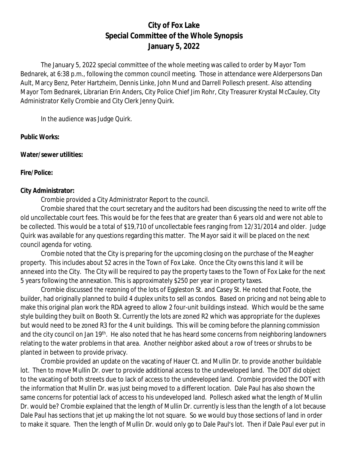# **City of Fox Lake Special Committee of the Whole Synopsis January 5, 2022**

The January 5, 2022 special committee of the whole meeting was called to order by Mayor Tom Bednarek, at 6:38 p.m., following the common council meeting. Those in attendance were Alderpersons Dan Ault, Marcy Benz, Peter Hartzheim, Dennis Linke, John Mund and Darrell Pollesch present. Also attending Mayor Tom Bednarek, Librarian Erin Anders, City Police Chief Jim Rohr, City Treasurer Krystal McCauley, City Administrator Kelly Crombie and City Clerk Jenny Quirk.

In the audience was Judge Quirk.

#### **Public Works:**

#### **Water/sewer utilities:**

#### **Fire/Police:**

#### **City Administrator:**

Crombie provided a City Administrator Report to the council.

Crombie shared that the court secretary and the auditors had been discussing the need to write off the old uncollectable court fees. This would be for the fees that are greater than 6 years old and were not able to be collected. This would be a total of \$19,710 of uncollectable fees ranging from 12/31/2014 and older. Judge Quirk was available for any questions regarding this matter. The Mayor said it will be placed on the next council agenda for voting.

Crombie noted that the City is preparing for the upcoming closing on the purchase of the Meagher property. This includes about 52 acres in the Town of Fox Lake. Once the City owns this land it will be annexed into the City. The City will be required to pay the property taxes to the Town of Fox Lake for the next 5 years following the annexation. This is approximately \$250 per year in property taxes.

Crombie discussed the rezoning of the lots of Eggleston St. and Casey St. He noted that Foote, the builder, had originally planned to build 4 duplex units to sell as condos. Based on pricing and not being able to make this original plan work the RDA agreed to allow 2 four-unit buildings instead. Which would be the same style building they built on Booth St. Currently the lots are zoned R2 which was appropriate for the duplexes but would need to be zoned R3 for the 4 unit buildings. This will be coming before the planning commission and the city council on Jan 19<sup>th</sup>. He also noted that he has heard some concerns from neighboring landowners relating to the water problems in that area. Another neighbor asked about a row of trees or shrubs to be planted in between to provide privacy.

Crombie provided an update on the vacating of Hauer Ct. and Mullin Dr. to provide another buildable lot. Then to move Mullin Dr. over to provide additional access to the undeveloped land. The DOT did object to the vacating of both streets due to lack of access to the undeveloped land. Crombie provided the DOT with the information that Mullin Dr. was just being moved to a different location. Dale Paul has also shown the same concerns for potential lack of access to his undeveloped land. Pollesch asked what the length of Mullin Dr. would be? Crombie explained that the length of Mullin Dr. currently is less than the length of a lot because Dale Paul has sections that jet up making the lot not square. So we would buy those sections of land in order to make it square. Then the length of Mullin Dr. would only go to Dale Paul's lot. Then if Dale Paul ever put in